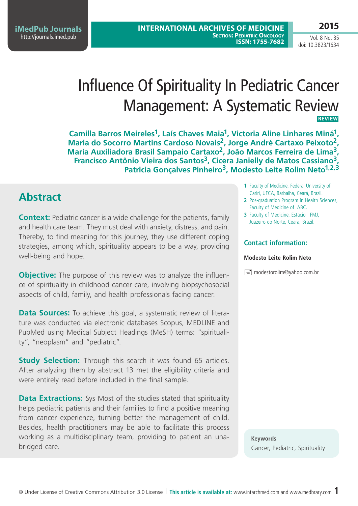**iMedPub Journals** <http://journals.imed.pub>

Vol. 8 No. 35 doi: 10.3823/1634

# Influence Of Spirituality In Pediatric Cancer Management: A Systematic Review **Review**

**Camilla Barros Meireles1, Laís Chaves Maia1, Victoria Aline Linhares Miná1, Maria do Socorro Martins Cardoso Novais2, Jorge André Cartaxo Peixoto2, Maria Auxiliadora Brasil Sampaio Cartaxo2, João Marcos Ferreira de Lima3, Francisco Antônio Vieira dos Santos3, Cicera Janielly de Matos Cassiano3,**  Patricia Goncalves Pinheiro<sup>3</sup>, Modesto Leite Rolim Neto<sup>1,2,3</sup>

### **Abstract**

**Context:** Pediatric cancer is a wide challenge for the patients, family and health care team. They must deal with anxiety, distress, and pain. Thereby, to find meaning for this journey, they use different coping strategies, among which, spirituality appears to be a way, providing well-being and hope.

**Objective:** The purpose of this review was to analyze the influence of spirituality in childhood cancer care, involving biopsychosocial aspects of child, family, and health professionals facing cancer.

**Data Sources:** To achieve this goal, a systematic review of literature was conducted via electronic databases Scopus, MEDLINE and PubMed using Medical Subject Headings (MeSH) terms: "spirituality", "neoplasm" and "pediatric".

**Study Selection:** Through this search it was found 65 articles. After analyzing them by abstract 13 met the eligibility criteria and were entirely read before included in the final sample.

**Data Extractions:** Sys Most of the studies stated that spirituality helps pediatric patients and their families to find a positive meaning from cancer experience, turning better the management of child. Besides, health practitioners may be able to facilitate this process working as a multidisciplinary team, providing to patient an unabridged care.

- **1** Faculty of Medicine, Federal University of Cariri, UFCA, Barbalha, Ceará, Brazil.
- **2** Pos-graduation Program in Health Sciences, Faculty of Medicine of ABC.
- **3** Faculty of Medicine, Estacio –FMJ, Juazeiro do Norte, Ceara, Brazil.

### **Contact information:**

#### **Modesto Leite Rolim Neto**

 $\equiv$  modestorolim@yahoo.com.br

**Keywords** Cancer, Pediatric, Spirituality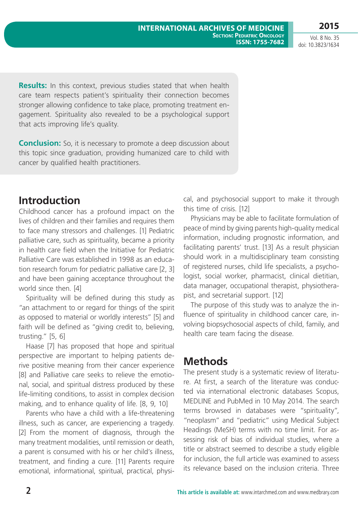**2015**

Vol. 8 No. 35 doi: 10.3823/1634

**Results:** In this context, previous studies stated that when health care team respects patient's spirituality their connection becomes stronger allowing confidence to take place, promoting treatment engagement. Spirituality also revealed to be a psychological support that acts improving life's quality.

**Conclusion:** So, it is necessary to promote a deep discussion about this topic since graduation, providing humanized care to child with cancer by qualified health practitioners.

### **Introduction**

Childhood cancer has a profound impact on the lives of children and their families and requires them to face many stressors and challenges. [1] Pediatric palliative care, such as spirituality, became a priority in health care field when the Initiative for Pediatric Palliative Care was established in 1998 as an education research forum for pediatric palliative care [2, 3] and have been gaining acceptance throughout the world since then. [4]

Spirituality will be defined during this study as "an attachment to or regard for things of the spirit as opposed to material or worldly interests" [5] and faith will be defined as "giving credit to, believing, trusting." [5, 6]

Haase [7] has proposed that hope and spiritual perspective are important to helping patients derive positive meaning from their cancer experience [8] and Palliative care seeks to relieve the emotional, social, and spiritual distress produced by these life-limiting conditions, to assist in complex decision making, and to enhance quality of life. [8, 9, 10]

Parents who have a child with a life-threatening illness, such as cancer, are experiencing a tragedy. [2] From the moment of diagnosis, through the many treatment modalities, until remission or death, a parent is consumed with his or her child's illness, treatment, and finding a cure. [11] Parents require emotional, informational, spiritual, practical, physical, and psychosocial support to make it through this time of crisis. [12]

Physicians may be able to facilitate formulation of peace of mind by giving parents high-quality medical information, including prognostic information, and facilitating parents' trust. [13] As a result physician should work in a multidisciplinary team consisting of registered nurses, child life specialists, a psychologist, social worker, pharmacist, clinical dietitian, data manager, occupational therapist, physiotherapist, and secretarial support. [12]

The purpose of this study was to analyze the influence of spirituality in childhood cancer care, involving biopsychosocial aspects of child, family, and health care team facing the disease.

## **Methods**

The present study is a systematic review of literature. At first, a search of the literature was conducted via international electronic databases Scopus, MEDLINE and PubMed in 10 May 2014. The search terms browsed in databases were "spirituality", "neoplasm" and "pediatric" using Medical Subject Headings (MeSH) terms with no time limit. For assessing risk of bias of individual studies, where a title or abstract seemed to describe a study eligible for inclusion, the full article was examined to assess its relevance based on the inclusion criteria. Three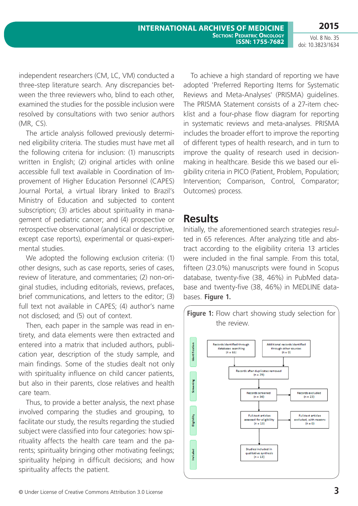**2015**

independent researchers (CM, LC, VM) conducted a three-step literature search. Any discrepancies between the three reviewers who, blind to each other, examined the studies for the possible inclusion were resolved by consultations with two senior authors (MR, CS).

The article analysis followed previously determined eligibility criteria. The studies must have met all the following criteria for inclusion: (1) manuscripts written in English; (2) original articles with online accessible full text available in Coordination of Improvement of Higher Education Personnel (CAPES) Journal Portal, a virtual library linked to Brazil's Ministry of Education and subjected to content subscription; (3) articles about spirituality in management of pediatric cancer; and (4) prospective or retrospective observational (analytical or descriptive, except case reports), experimental or quasi-experimental studies.

We adopted the following exclusion criteria: (1) other designs, such as case reports, series of cases, review of literature, and commentaries; (2) non-original studies, including editorials, reviews, prefaces, brief communications, and letters to the editor; (3) full text not available in CAPES; (4) author's name not disclosed; and (5) out of context.

Then, each paper in the sample was read in entirety, and data elements were then extracted and entered into a matrix that included authors, publication year, description of the study sample, and main findings. Some of the studies dealt not only with spirituality influence on child cancer patients, but also in their parents, close relatives and health care team.

Thus, to provide a better analysis, the next phase involved comparing the studies and grouping, to facilitate our study, the results regarding the studied subject were classified into four categories: how spirituality affects the health care team and the parents; spirituality bringing other motivating feelings; spirituality helping in difficult decisions; and how spirituality affects the patient.

To achieve a high standard of reporting we have adopted 'Preferred Reporting Items for Systematic Reviews and Meta-Analyses' (PRISMA) guidelines. The PRISMA Statement consists of a 27-item checklist and a four-phase flow diagram for reporting in systematic reviews and meta-analyses. PRISMA includes the broader effort to improve the reporting of different types of health research, and in turn to improve the quality of research used in decisionmaking in healthcare. Beside this we based our eligibility criteria in PICO (Patient, Problem, Population; Intervention; Comparison, Control, Comparator; Outcomes) process.

### **Results**

Initially, the aforementioned search strategies resulted in 65 references. After analyzing title and abstract according to the eligibility criteria 13 articles were included in the final sample. From this total, fifteen (23.0%) manuscripts were found in Scopus database, twenty-five (38, 46%) in PubMed database and twenty-five (38, 46%) in MEDLINE databases. **Figure 1.**

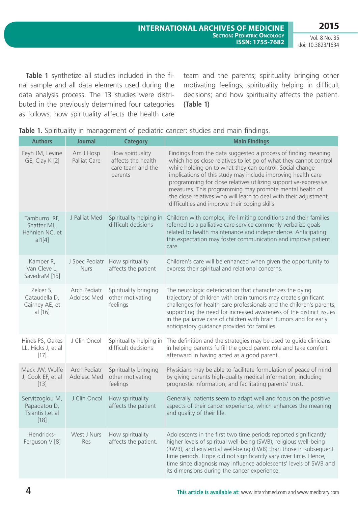**Table 1** synthetize all studies included in the final sample and all data elements used during the data analysis process. The 13 studies were distributed in the previously determined four categories as follows: how spirituality affects the health care team and the parents; spirituality bringing other motivating feelings; spirituality helping in difficult decisions; and how spirituality affects the patient. **(Table 1)**

| <b>Authors</b>                                                 | <b>Journal</b>                | <b>Category</b>                                                        | <b>Main Findings</b>                                                                                                                                                                                                                                                                                                                                                                                                                                                                                              |
|----------------------------------------------------------------|-------------------------------|------------------------------------------------------------------------|-------------------------------------------------------------------------------------------------------------------------------------------------------------------------------------------------------------------------------------------------------------------------------------------------------------------------------------------------------------------------------------------------------------------------------------------------------------------------------------------------------------------|
| Feyh JM, Levine<br>GE, Clay K [2]                              | Am J Hosp<br>Palliat Care     | How spirituality<br>affects the health<br>care team and the<br>parents | Findings from the data suggested a process of finding meaning<br>which helps close relatives to let go of what they cannot control<br>while holding on to what they can control. Social change<br>implications of this study may include improving health care<br>programming for close relatives utilizing supportive-expressive<br>measures. This programming may promote mental health of<br>the close relatives who will learn to deal with their adjustment<br>difficulties and improve their coping skills. |
| Tamburro RF,<br>Shaffer ML,<br>Hahnlen NC, et<br>al1[4]        | J Palliat Med                 | Spirituality helping in<br>difficult decisions                         | Children with complex, life-limiting conditions and their families<br>referred to a palliative care service commonly verbalize goals<br>related to health maintenance and independence. Anticipating<br>this expectation may foster communication and improve patient<br>care.                                                                                                                                                                                                                                    |
| Kamper R,<br>Van Cleve L,<br>SavedraM [15]                     | J Spec Pediatr<br><b>Nurs</b> | How spirituality<br>affects the patient                                | Children's care will be enhanced when given the opportunity to<br>express their spiritual and relational concerns.                                                                                                                                                                                                                                                                                                                                                                                                |
| Zelcer S,<br>Cataudella D,<br>Cairney AE, et<br>al [16]        | Arch Pediatr<br>Adolesc Med   | Spirituality bringing<br>other motivating<br>feelings                  | The neurologic deterioration that characterizes the dying<br>trajectory of children with brain tumors may create significant<br>challenges for health care professionals and the children's parents,<br>supporting the need for increased awareness of the distinct issues<br>in the palliative care of children with brain tumors and for early<br>anticipatory guidance provided for families.                                                                                                                  |
| Hinds PS, Oakes<br>LL, Hicks J, et al<br>$[17]$                | J Clin Oncol                  | Spirituality helping in<br>difficult decisions                         | The definition and the strategies may be used to guide clinicians<br>in helping parents fulfill the good parent role and take comfort<br>afterward in having acted as a good parent.                                                                                                                                                                                                                                                                                                                              |
| Mack JW, Wolfe<br>J, Cook EF, et al<br>$[13]$                  | Arch Pediatr<br>Adolesc Med   | Spirituality bringing<br>other motivating<br>feelings                  | Physicians may be able to facilitate formulation of peace of mind<br>by giving parents high-quality medical information, including<br>prognostic information, and facilitating parents' trust.                                                                                                                                                                                                                                                                                                                    |
| Servitzoglou M,<br>Papadatou D,<br>Tsiantis I, et al<br>$[18]$ | J Clin Oncol                  | How spirituality<br>affects the patient                                | Generally, patients seem to adapt well and focus on the positive<br>aspects of their cancer experience, which enhances the meaning<br>and quality of their life.                                                                                                                                                                                                                                                                                                                                                  |
| Hendricks-<br>Ferguson V [8]                                   | West J Nurs<br>Res            | How spirituality<br>affects the patient.                               | Adolescents in the first two time periods reported significantly<br>higher levels of spiritual well-being (SWB), religious well-being<br>(RWB), and existential well-being (EWB) than those in subsequent<br>time periods. Hope did not significantly vary over time. Hence,<br>time since diagnosis may influence adolescents' levels of SWB and<br>its dimensions during the cancer experience.                                                                                                                 |

|  | Table 1. Spirituality in management of pediatric cancer: studies and main findings. |  |  |  |  |
|--|-------------------------------------------------------------------------------------|--|--|--|--|
|  |                                                                                     |  |  |  |  |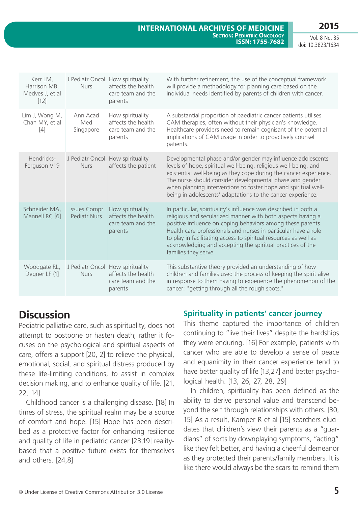**2015**

Vol. 8 No. 35 doi: 10.3823/1634

| Kerr LM,<br>Harrison MB,<br>Medves J, et al<br>$[12]$ | <b>Nurs</b>                                | J Pediatr Oncol How spirituality<br>affects the health<br>care team and the<br>parents | With further refinement, the use of the conceptual framework<br>will provide a methodology for planning care based on the<br>individual needs identified by parents of children with cancer.                                                                                                                                                                                                                              |
|-------------------------------------------------------|--------------------------------------------|----------------------------------------------------------------------------------------|---------------------------------------------------------------------------------------------------------------------------------------------------------------------------------------------------------------------------------------------------------------------------------------------------------------------------------------------------------------------------------------------------------------------------|
| Lim J, Wong M,<br>Chan MY, et al<br>[4]               | Ann Acad<br>Med<br>Singapore               | How spirituality<br>affects the health<br>care team and the<br>parents                 | A substantial proportion of paediatric cancer patients utilises<br>CAM therapies, often without their physician's knowledge.<br>Healthcare providers need to remain cognisant of the potential<br>implications of CAM usage in order to proactively counsel<br>patients.                                                                                                                                                  |
| Hendricks-<br>Ferguson V19                            | <b>Nurs</b>                                | J Pediatr Oncol How spirituality<br>affects the patient                                | Developmental phase and/or gender may influence adolescents'<br>levels of hope, spiritual well-being, religious well-being, and<br>existential well-being as they cope during the cancer experience.<br>The nurse should consider developmental phase and gender<br>when planning interventions to foster hope and spiritual well-<br>being in adolescents' adaptations to the cancer experience.                         |
| Schneider MA,<br>Mannell RC [6]                       | <b>Issues Compr</b><br><b>Pediatr Nurs</b> | How spirituality<br>affects the health<br>care team and the<br>parents                 | In particular, spirituality's influence was described in both a<br>religious and secularized manner with both aspects having a<br>positive influence on coping behaviors among these parents.<br>Health care professionals and nurses in particular have a role<br>to play in facilitating access to spiritual resources as well as<br>acknowledging and accepting the spiritual practices of the<br>families they serve. |
| Woodgate RL,<br>Degner LF {1]                         | <b>Nurs</b>                                | J Pediatr Oncol How spirituality<br>affects the health<br>care team and the<br>parents | This substantive theory provided an understanding of how<br>children and families used the process of keeping the spirit alive<br>in response to them having to experience the phenomenon of the<br>cancer: "getting through all the rough spots."                                                                                                                                                                        |

## **Discussion**

Pediatric palliative care, such as spirituality, does not attempt to postpone or hasten death; rather it focuses on the psychological and spiritual aspects of care, offers a support [20, 2] to relieve the physical, emotional, social, and spiritual distress produced by these life-limiting conditions, to assist in complex decision making, and to enhance quality of life. [21, 22, 14]

Childhood cancer is a challenging disease. [18] In times of stress, the spiritual realm may be a source of comfort and hope. [15] Hope has been described as a protective factor for enhancing resilience and quality of life in pediatric cancer [23,19] realitybased that a positive future exists for themselves and others. [24,8]

### **Spirituality in patients' cancer journey**

This theme captured the importance of children continuing to "live their lives" despite the hardships they were enduring. [16] For example, patients with cancer who are able to develop a sense of peace and equanimity in their cancer experience tend to have better quality of life [13,27] and better psychological health. [13, 26, 27, 28, 29]

In children, spirituality has been defined as the ability to derive personal value and transcend beyond the self through relationships with others. [30, 15] As a result, Kamper R et al [15] searchers elucidates that children's view their parents as a "guardians" of sorts by downplaying symptoms, "acting" like they felt better, and having a cheerful demeanor as they protected their parents/family members. It is like there would always be the scars to remind them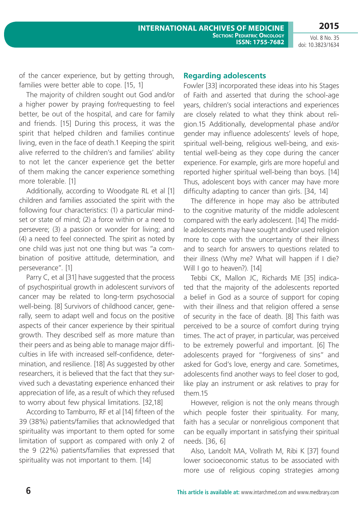**2015**

of the cancer experience, but by getting through, families were better able to cope. [15, 1]

The majority of children sought out God and/or a higher power by praying for/requesting to feel better, be out of the hospital, and care for family and friends. [15] During this process, it was the spirit that helped children and families continue living, even in the face of death.1 Keeping the spirit alive referred to the children's and families' ability to not let the cancer experience get the better of them making the cancer experience something more tolerable. [1]

Additionally, according to Woodgate RL et al [1] children and families associated the spirit with the following four characteristics: (1) a particular mindset or state of mind; (2) a force within or a need to persevere; (3) a passion or wonder for living; and (4) a need to feel connected. The spirit as noted by one child was just not one thing but was "a combination of positive attitude, determination, and perseverance". [1]

Parry C, et al [31] have suggested that the process of psychospiritual growth in adolescent survivors of cancer may be related to long-term psychosocial well-being. [8] Survivors of childhood cancer, generally, seem to adapt well and focus on the positive aspects of their cancer experience by their spiritual growth. They described self as more mature than their peers and as being able to manage major difficulties in life with increased self-confidence, determination, and resilience. [18] As suggested by other researchers, it is believed that the fact that they survived such a devastating experience enhanced their appreciation of life, as a result of which they refused to worry about few physical limitations. [32,18]

According to Tamburro, RF et al [14] fifteen of the 39 (38%) patients/families that acknowledged that spirituality was important to them opted for some limitation of support as compared with only 2 of the 9 (22%) patients/families that expressed that spirituality was not important to them. [14]

#### **Regarding adolescents**

Fowler [33] incorporated these ideas into his Stages of Faith and asserted that during the school-age years, children's social interactions and experiences are closely related to what they think about religion.15 Additionally, developmental phase and/or gender may influence adolescents' levels of hope, spiritual well-being, religious well-being, and existential well-being as they cope during the cancer experience. For example, girls are more hopeful and reported higher spiritual well-being than boys. [14] Thus, adolescent boys with cancer may have more difficulty adapting to cancer than girls. [34, 14]

The difference in hope may also be attributed to the cognitive maturity of the middle adolescent compared with the early adolescent. [14] The middle adolescents may have sought and/or used religion more to cope with the uncertainty of their illness and to search for answers to questions related to their illness (Why me? What will happen if I die? Will I go to heaven?). [14]

Tebbi CK, Mallon JC, Richards ME [35] indicated that the majority of the adolescents reported a belief in God as a source of support for coping with their illness and that religion offered a sense of security in the face of death. [8] This faith was perceived to be a source of comfort during trying times. The act of prayer, in particular, was perceived to be extremely powerful and important. [6] The adolescents prayed for "forgiveness of sins" and asked for God's love, energy and care. Sometimes, adolescents find another ways to feel closer to god, like play an instrument or ask relatives to pray for them 15

However, religion is not the only means through which people foster their spirituality. For many, faith has a secular or nonreligious component that can be equally important in satisfying their spiritual needs. [36, 6]

Also, Landolt MA, Vollrath M, Ribi K [37] found lower socioeconomic status to be associated with more use of religious coping strategies among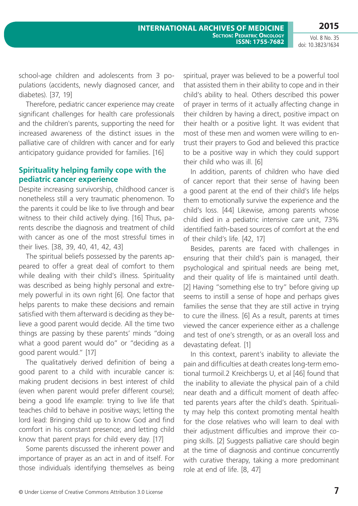school-age children and adolescents from 3 populations (accidents, newly diagnosed cancer, and diabetes). [37, 19]

Therefore, pediatric cancer experience may create significant challenges for health care professionals and the children's parents, supporting the need for increased awareness of the distinct issues in the palliative care of children with cancer and for early anticipatory guidance provided for families. [16]

### **Spirituality helping family cope with the pediatric cancer experience**

Despite increasing survivorship, childhood cancer is nonetheless still a very traumatic phenomenon. To the parents it could be like to live through and bear witness to their child actively dying. [16] Thus, parents describe the diagnosis and treatment of child with cancer as one of the most stressful times in their lives. [38, 39, 40, 41, 42, 43]

The spiritual beliefs possessed by the parents appeared to offer a great deal of comfort to them while dealing with their child's illness. Spirituality was described as being highly personal and extremely powerful in its own right [6]. One factor that helps parents to make these decisions and remain satisfied with them afterward is deciding as they believe a good parent would decide. All the time two things are passing by these parents' minds "doing what a good parent would do" or "deciding as a good parent would." [17]

The qualitatively derived definition of being a good parent to a child with incurable cancer is: making prudent decisions in best interest of child (even when parent would prefer different course); being a good life example: trying to live life that teaches child to behave in positive ways; letting the lord lead: Bringing child up to know God and find comfort in his constant presence; and letting child know that parent prays for child every day. [17]

Some parents discussed the inherent power and importance of prayer as an act in and of itself. For those individuals identifying themselves as being spiritual, prayer was believed to be a powerful tool that assisted them in their ability to cope and in their child's ability to heal. Others described this power of prayer in terms of it actually affecting change in their children by having a direct, positive impact on their health or a positive light. It was evident that most of these men and women were willing to entrust their prayers to God and believed this practice to be a positive way in which they could support their child who was ill. [6]

In addition, parents of children who have died of cancer report that their sense of having been a good parent at the end of their child's life helps them to emotionally survive the experience and the child's loss. [44] Likewise, among parents whose child died in a pediatric intensive care unit, 73% identified faith-based sources of comfort at the end of their child's life. [42, 17]

Besides, parents are faced with challenges in ensuring that their child's pain is managed, their psychological and spiritual needs are being met, and their quality of life is maintained until death. [2] Having "something else to try" before giving up seems to instill a sense of hope and perhaps gives families the sense that they are still active in trying to cure the illness. [6] As a result, parents at times viewed the cancer experience either as a challenge and test of one's strength, or as an overall loss and devastating defeat. [1]

In this context, parent's inability to alleviate the pain and difficulties at death creates long-term emotional turmoil.2 Kreichbergs U, et al [46] found that the inability to alleviate the physical pain of a child near death and a difficult moment of death affected parents years after the child's death. Spirituality may help this context promoting mental health for the close relatives who will learn to deal with their adjustment difficulties and improve their coping skills. [2] Suggests palliative care should begin at the time of diagnosis and continue concurrently with curative therapy, taking a more predominant role at end of life. [8, 47]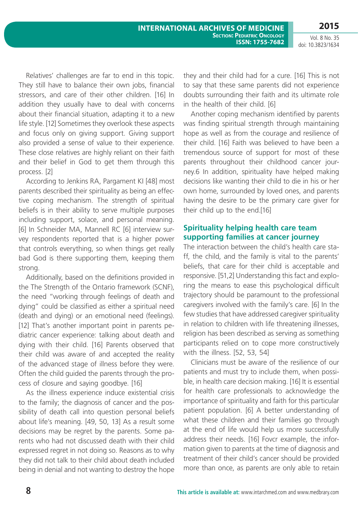Relatives' challenges are far to end in this topic. They still have to balance their own jobs, financial stressors, and care of their other children. [16] In addition they usually have to deal with concerns about their financial situation, adapting it to a new life style. [12] Sometimes they overlook these aspects and focus only on giving support. Giving support also provided a sense of value to their experience. These close relatives are highly reliant on their faith and their belief in God to get them through this process. [2]

According to Jenkins RA, Pargament KI [48] most parents described their spirituality as being an effective coping mechanism. The strength of spiritual beliefs is in their ability to serve multiple purposes including support, solace, and personal meaning. [6] In Schneider MA, Mannell RC [6] interview survey respondents reported that is a higher power that controls everything, so when things get really bad God is there supporting them, keeping them strong.

Additionally, based on the definitions provided in the The Strength of the Ontario framework (SCNF), the need "working through feelings of death and dying" could be classified as either a spiritual need (death and dying) or an emotional need (feelings). [12] That's another important point in parents pediatric cancer experience: talking about death and dying with their child. [16] Parents observed that their child was aware of and accepted the reality of the advanced stage of illness before they were. Often the child guided the parents through the process of closure and saying goodbye. [16]

As the illness experience induce existential crisis to the family; the diagnosis of cancer and the possibility of death call into question personal beliefs about life's meaning. [49, 50, 13] As a result some decisions may be regret by the parents. Some parents who had not discussed death with their child expressed regret in not doing so. Reasons as to why they did not talk to their child about death included being in denial and not wanting to destroy the hope they and their child had for a cure. [16] This is not to say that these same parents did not experience doubts surrounding their faith and its ultimate role in the health of their child. [6]

Another coping mechanism identified by parents was finding spiritual strength through maintaining hope as well as from the courage and resilience of their child. [16] Faith was believed to have been a tremendous source of support for most of these parents throughout their childhood cancer journey.6 In addition, spirituality have helped making decisions like wanting their child to die in his or her own home, surrounded by loved ones, and parents having the desire to be the primary care giver for their child up to the end.[16]

### **Spirituality helping health care team supporting families at cancer journey**

The interaction between the child's health care staff, the child, and the family is vital to the parents' beliefs, that care for their child is acceptable and responsive. [51,2] Understanding this fact and exploring the means to ease this psychological difficult trajectory should be paramount to the professional caregivers involved with the family's care. [6] In the few studies that have addressed caregiver spirituality in relation to children with life threatening illnesses, religion has been described as serving as something participants relied on to cope more constructively with the illness. [52, 53, 54]

Clinicians must be aware of the resilience of our patients and must try to include them, when possible, in health care decision making. [16] It is essential for health care professionals to acknowledge the importance of spirituality and faith for this particular patient population. [6] A better understanding of what these children and their families go through at the end of life would help us more successfully address their needs. [16] Fovcr example, the information given to parents at the time of diagnosis and treatment of their child's cancer should be provided more than once, as parents are only able to retain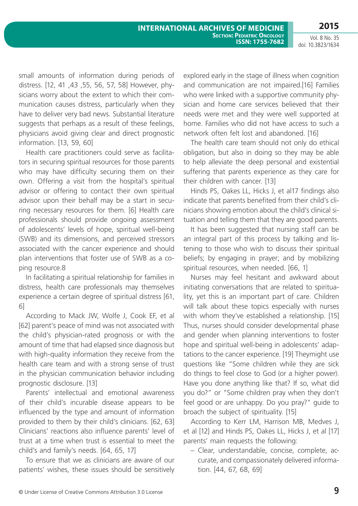small amounts of information during periods of distress. [12, 41 ,43 ,55, 56, 57, 58] However, physicians worry about the extent to which their communication causes distress, particularly when they have to deliver very bad news. Substantial literature suggests that perhaps as a result of these feelings, physicians avoid giving clear and direct prognostic information. [13, 59, 60]

Health care practitioners could serve as facilitators in securing spiritual resources for those parents who may have difficulty securing them on their own. Offering a visit from the hospital's spiritual advisor or offering to contact their own spiritual advisor upon their behalf may be a start in securing necessary resources for them. [6] Health care professionals should provide ongoing assessment of adolescents' levels of hope, spiritual well-being (SWB) and its dimensions, and perceived stressors associated with the cancer experience and should plan interventions that foster use of SWB as a coping resource.8

In facilitating a spiritual relationship for families in distress, health care professionals may themselves experience a certain degree of spiritual distress [61, 6]

According to Mack JW, Wolfe J, Cook EF, et al [62] parent's peace of mind was not associated with the child's physician-rated prognosis or with the amount of time that had elapsed since diagnosis but with high-quality information they receive from the health care team and with a strong sense of trust in the physician communication behavior including prognostic disclosure. [13]

Parents' intellectual and emotional awareness of their child's incurable disease appears to be influenced by the type and amount of information provided to them by their child's clinicians. [62, 63] Clinicians' reactions also influence parents' level of trust at a time when trust is essential to meet the child's and family's needs. [64, 65, 17]

To ensure that we as clinicians are aware of our patients' wishes, these issues should be sensitively explored early in the stage of illness when cognition and communication are not impaired.[16] Families who were linked with a supportive community physician and home care services believed that their needs were met and they were well supported at home. Families who did not have access to such a network often felt lost and abandoned. [16]

The health care team should not only do ethical obligation, but also in doing so they may be able to help alleviate the deep personal and existential suffering that parents experience as they care for their children with cancer. [13]

Hinds PS, Oakes LL, Hicks J, et al17 findings also indicate that parents benefited from their child's clinicians showing emotion about the child's clinical situation and telling them that they are good parents.

It has been suggested that nursing staff can be an integral part of this process by talking and listening to those who wish to discuss their spiritual beliefs; by engaging in prayer; and by mobilizing spiritual resources, when needed. [66, 1]

Nurses may feel hesitant and awkward about initiating conversations that are related to spirituality, yet this is an important part of care. Children will talk about these topics especially with nurses with whom they've established a relationship. [15] Thus, nurses should consider developmental phase and gender when planning interventions to foster hope and spiritual well-being in adolescents' adaptations to the cancer experience. [19] Theymight use questions like "Some children while they are sick do things to feel close to God (or a higher power). Have you done anything like that? If so, what did you do?" or "Some children pray when they don't feel good or are unhappy. Do you pray?" guide to broach the subject of spirituality. [15]

According to Kerr LM, Harrison MB, Medves J, et al [12] and Hinds PS, Oakes LL, Hicks J, et al [17] parents' main requests the following:

– Clear, understandable, concise, complete, accurate, and compassionately delivered information. [44, 67, 68, 69]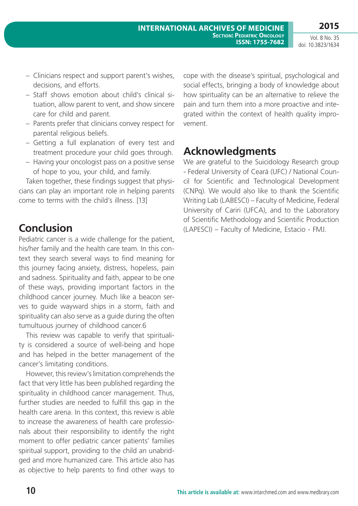- Clinicians respect and support parent's wishes, decisions, and efforts.
- Staff shows emotion about child's clinical situation, allow parent to vent, and show sincere care for child and parent.
- Parents prefer that clinicians convey respect for parental religious beliefs.
- Getting a full explanation of every test and treatment procedure your child goes through.
- Having your oncologist pass on a positive sense of hope to you, your child, and family.

Taken together, these findings suggest that physicians can play an important role in helping parents come to terms with the child's illness. [13]

## **Conclusion**

Pediatric cancer is a wide challenge for the patient, his/her family and the health care team. In this context they search several ways to find meaning for this journey facing anxiety, distress, hopeless, pain and sadness. Spirituality and faith, appear to be one of these ways, providing important factors in the childhood cancer journey. Much like a beacon serves to guide wayward ships in a storm, faith and spirituality can also serve as a guide during the often tumultuous journey of childhood cancer.6

This review was capable to verify that spirituality is considered a source of well-being and hope and has helped in the better management of the cancer's limitating conditions.

However, this review's limitation comprehends the fact that very little has been published regarding the spirituality in childhood cancer management. Thus, further studies are needed to fulfill this gap in the health care arena. In this context, this review is able to increase the awareness of health care professionals about their responsibility to identify the right moment to offer pediatric cancer patients' families spiritual support, providing to the child an unabridged and more humanized care. This article also has as objective to help parents to find other ways to cope with the disease's spiritual, psychological and social effects, bringing a body of knowledge about how spirituality can be an alternative to relieve the pain and turn them into a more proactive and integrated within the context of health quality improvement.

## **Acknowledgments**

We are grateful to the Suicidology Research group - Federal University of Ceará (UFC) / National Council for Scientific and Technological Development (CNPq). We would also like to thank the Scientific Writing Lab (LABESCI) – Faculty of Medicine, Federal University of Cariri (UFCA), and to the Laboratory of Scientific Methodology and Scientific Production (LAPESCI) – Faculty of Medicine, Estacio - FMJ.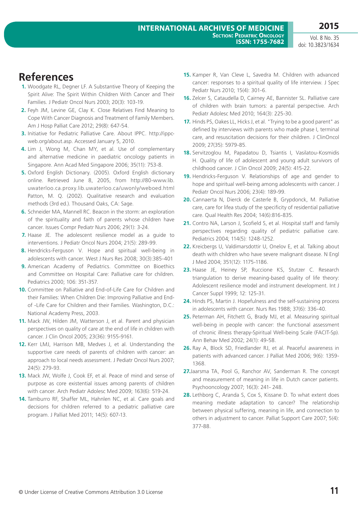## **References**

- **1.** Woodgate RL, Degner LF. A Substantive Theory of Keeping the Spirit Alive: The Spirit Within Children With Cancer and Their Families. J Pediatr Oncol Nurs 2003; 20(3): 103-19.
- **2.** Feyh JM, Levine GE, Clay K. Close Relatives Find Meaning to Cope With Cancer Diagnosis and Treatment of Family Members. Am J Hosp Palliat Care 2012; 29(8): 647-54.
- **3.** Initiative for Pediatric Palliative Care. About IPPC. http://ippcweb.org/about.asp. Accessed January 5, 2010.
- **4.** Lim J, Wong M, Chan MY, et al. Use of complementary and alternative medicine in paediatric oncology patients in Singapore. Ann Acad Med Singapore 2006; 35(11): 753-8.
- **5.** Oxford English Dictionary. (2005). Oxford English dictionary online. Retrieved June 8, 2005, from http://80-www.lib. uwaterloo.ca.proxy.lib.uwaterloo.ca/uwonly/weboed.html Patton, M. Q. (2002). Qualitative research and evaluation methods (3rd ed.). Thousand Oaks, CA: Sage.
- **6.** Schneider MA, Mannell RC. Beacon in the storm: an exploration of the spirituality and faith of parents whose children have cancer. Issues Compr Pediatr Nurs 2006; 29(1): 3-24.
- **7.** Haase JE. The adolescent resilience model as a guide to interventions. J Pediatr Oncol Nurs 2004; 21(5): 289-99.
- **8.** Hendricks-Ferguson V. Hope and spiritual well-being in adolescents with cancer. West J Nurs Res 2008; 30(3):385-401
- **9.** American Academy of Pediatrics. Committee on Bioethics and Committee on Hospital Care: Palliative care for children. Pediatrics 2000; 106: 351-357.
- **10.** Committee on Palliative and End-of-Life Care for Children and their Families: When Children Die: Improving Palliative and Endof -Life Care for Children and their Families. Washington, D.C.: National Academy Press, 2003.
- **11.** Mack JW, Hilden JM, Watterson J, et al. Parent and physician perspectives on quality of care at the end of life in children with cancer. J Clin Oncol 2005; 23(36): 9155-9161.
- **12.** Kerr LMJ, Harrison MB, Medves J, et al. Understanding the supportive care needs of parents of children with cancer: an approach to local needs assessment. J Pediatr Oncol Nurs 2007; 24(5): 279-93.
- **13.** Mack JW, Wolfe J, Cook EF, et al. Peace of mind and sense of purpose as core existential issues among parents of children with cancer. Arch Pediatr Adolesc Med 2009; 163(6): 519-24.
- **14.** Tamburro RF, Shaffer ML, Hahnlen NC, et al. Care goals and decisions for children referred to a pediatric palliative care program. J Palliat Med 2011; 14(5): 607-13.
- **15.** Kamper R, Van Cleve L, Savedra M. Children with advanced cancer: responses to a spiritual quality of life interview. J Spec Pediatr Nurs 2010; 15(4): 301-6.
- **16.** Zelcer S, Cataudella D, Cairney AE, Bannister SL. Palliative care of children with brain tumors: a parental perspective. Arch Pediatr Adolesc Med 2010; 164(3): 225-30.
- **17.** Hinds PS, Oakes LL, Hicks J, et al. "Trying to be a good parent" as defined by interviews with parents who made phase I, terminal care, and resuscitation decisions for their children. J ClinOncol 2009; 27(35): 5979-85.
- **18.** Servitzoglou M, Papadatou D, Tsiantis I, Vasilatou-Kosmidis H. Quality of life of adolescent and young adult survivors of childhood cancer. J Clin Oncol 2009; 24(5): 415-22.
- **19.** Hendricks-Ferguson V. Relationships of age and gender to hope and spiritual well-being among adolescents with cancer. J Pediatr Oncol Nurs 2006; 23(4): 189-99.
- **20.** Cannaerta N, Dierck de Casterle B, Grypdonck, M. Palliative care, care for lifea study of the specificity of residential palliative care. Qual Health Res 2004; 14(6):816-835.
- **21.** Contro NA, Larson J, Scofield S, et al. Hospital staff and family perspectives regarding quality of pediatric palliative care. Pediatrics 2004; 114(5): 1248-1252.
- **22.** Kreicbergs U, Valdimarsdottir U, Onelov E, et al. Talking about death with children who have severe malignant disease. N Engl J Med 2004; 351(12): 1175-1186.
- **23.** Haase JE, Heiney SP, Ruccione KS, Stutzer C. Research triangulation to derive meaning-based quality of life theory: Adolescent resilience model and instrument development. Int J Cancer Suppl 1999; 12: 125-31.
- **24.** Hinds PS, Martin J. Hopefulness and the self-sustaining process in adolescents with cancer. Nurs Res 1988; 37(6): 336-40.
- **25.** Peterman AH, Fitchett G, Brady MJ, et al. Measuring spiritual well-being in people with cancer: the functional assessment of chronic illness therapy-Spiritual Well-being Scale (FACIT-Sp). Ann Behav Med 2002; 24(1): 49-58.
- **26.** Ray A, Block SD, Friedlander RJ, et al. Peaceful awareness in patients with advanced cancer. J Palliat Med 2006; 9(6): 1359- 1368.
- **27.**Jaarsma TA, Pool G, Ranchor AV, Sanderman R. The concept and measurement of meaning in life in Dutch cancer patients. Psychooncology 2007; 16(3): 241- 248.
- **28.** Lethborg C, Aranda S, Cox S, Kissane D. To what extent does meaning mediate adaptation to cancer? The relationship between physical suffering, meaning in life, and connection to others in adjustment to cancer. Palliat Support Care 2007; 5(4): 377-88.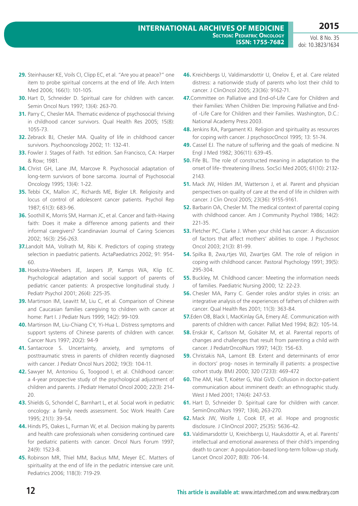- **29.** Steinhauser KE, Voils CI, Clipp EC, et al. "Are you at peace?" one item to probe spiritual concerns at the end of life. Arch Intern Med 2006; 166(1): 101-105.
- **30.** Hart D, Schneider D. Spiritual care for children with cancer. Semin Oncol Nurs 1997; 13(4): 263-70.
- **31.** Parry C, Chesler MA. Thematic evidence of psychosocial thriving in childhood cancer survivors. Qual Health Res 2005; 15(8): 1055-73.
- **32.** Zebrack BJ, Chesler MA. Quality of life in childhood cancer survivors. Psychooncology 2002; 11: 132-41.
- **33.** Fowler J. Stages of Faith. 1st edition. San Francisco, CA: Harper & Row; 1981.
- **34.** Christ GH, Lane JM, Marcove R. Psychosocial adaptation of long-term survivors of bone sarcoma. Journal of Psychosocial Oncology 1995; 13(4): 1-22.
- **35.** Tebbi CK, Mallon JC, Richards ME, Bigler LR. Religiosity and locus of control of adolescent cancer patients. Psychol Rep 1987; 61(3): 683-96.
- **36.** Soothill K, Morris SM, Harman JC, et al. Cancer and faith-Having faith: Does it make a difference among patients and their informal caregivers? Scandinavian Journal of Caring Sciences 2002; 16(3): 256-263.
- **37.**Landolt MA, Vollrath M, Ribi K. Predictors of coping strategy selection in paediatric patients. ActaPaediatrics 2002; 91: 954- 60.
- **38.** Hoekstra-Weebers JE, Jaspers JP, Kamps WA, Klip EC. Psychological adaptation and social support of parents of pediatric cancer patients: A prospective longitudinal study. J Pediatr Psychol 2001; 26(4): 225-35.
- **39.** Martinson IM, Leavitt M, Liu C, et al. Comparison of Chinese and Caucasian families caregiving to children with cancer at home: Part I. J Pediatr Nurs 1999; 14(2): 99-109.
- **40.** Martinson IM, Liu-Chiang CY, Yi-Hua L. Distress symptoms and support systems of Chinese parents of children with cancer. Cancer Nurs 1997; 20(2): 94-9
- **41.** Santacroce S. Uncertainty, anxiety, and symptoms of posttraumatic stress in parents of children recently diagnosed with cancer. J Pediatr Oncol Nurs 2002; 19(3): 104-11.
- **42.** Sawyer M, Antoniou G, Toogood I, et al. Childhood cancer: a 4-year prospective study of the psychological adjustment of children and parents. J Pediatr Hematol Oncol 2000; 22(3): 214- 20.
- **43.** Shields G, Schondel C, Barnhart L, et al. Social work in pediatric oncology: a family needs assessment. Soc Work Health Care 1995; 21(1): 39-54.
- **44.** Hinds PS, Oakes L, Furman W, et al. Decision making by parents and health care professionals when considering continued care for pediatric patients with cancer. Oncol Nurs Forum 1997; 24(9): 1523-8.
- **45.** Robinson MR, Thiel MM, Backus MM, Meyer EC. Matters of spirituality at the end of life in the pediatric intensive care unit. Pediatrics 2006; 118(3): 719-29.
- **46.** Kreichbergs U, Valdimarsdottir U, Onelov E, et al. Care related distress: a nationwide study of parents who lost their child to cancer. J ClinOncol 2005; 23(36): 9162-71.
- **47.**Committee on Palliative and End-of-Life Care for Children and their Families: When Children Die: Improving Palliative and Endof -Life Care for Children and their Families. Washington, D.C.: National Academy Press 2003.
- **48.** Jenkins RA, Pargament KI. Religion and spirituality as resources for coping with cancer. J psychosocOncol 1995; 13: 51-74.
- **49.** Cassel EJ. The nature of suffering and the goals of medicine. N Engl J Med 1982; 306(11): 639-45.
- **50.** Fife BL. The role of constructed meaning in adaptation to the onset of life- threatening illness. SocSci Med 2005; 61(10): 2132- 2143.
- **51.** Mack JW, Hilden JM, Watterson J, et al. Parent and physician perspectives on quality of care at the end of life in children with cancer. J Clin Oncol 2005; 23(36): 9155-9161.
- **52.** Barbarin OA, Chesler M. The medical context of parental coping with childhood cancer. Am J Community Psychol 1986; 14(2): 221-35.
- **53.** Fletcher PC, Clarke J. When your child has cancer: A discussion of factors that affect mothers' abilities to cope. J Psychosoc Oncol 2003; 21(3): 81-99.
- **54.** Spilka B, Zwa,rtjes WJ, Zwartjes GM. The role of religion in coping with childhood cancer. Pastoral Psychology 1991; 39(5): 295-304.
- **55.** Buckley, M. Childhood cancer: Meeting the information needs of families. Paediatric Nursing 2000; 12: 22-23.
- **56.** Chesler MA, Parry C. Gender roles and/or styles in crisis: an integrative analysis of the experiences of fathers of children with cancer. Qual Health Res 2001; 11(3): 363-84.
- **57.**Eden OB, Black I, MacKinlay GA, Emery AE. Communication with parents of children with cancer. Palliat Med 1994; 8(2): 105-14.
- **58.** Enskär K, Carlsson M, Golsäter M, et al. Parental reports of changes and challenges that result from parenting a child with cancer. J PediatrOncolNurs 1997; 14(3): 156-63.
- **59.** Christakis NA, Lamont EB. Extent and determinants of error in doctors' prog- noses in terminally ill patients: a prospective cohort study. BMJ 2000; 320 (7233): 469-472
- **60.** The AM, Hak T, Koëter G, Wal GVD. Collusion in doctor-patient communication about imminent death: an ethnographic study. West J Med 2001; 174(4): 247-53.
- **61.** Hart D, Schneider D. Spiritual care for children with cancer. SeminOncolNurs 1997; 13(4), 263-270.
- **62.** Mack JW, Wolfe J, Cook EF, et al. Hope and prognostic disclosure. J ClinOncol 2007; 25(35): 5636-42.
- **63.** Valdimarsdottir U, Kreichbergs U, Hauksdottir A, et al. Parents' intellectual and emotional awareness of their child's impending death to cancer: A population-based long-term follow-up study. Lancet Oncol 2007; 8(8): 706-14.